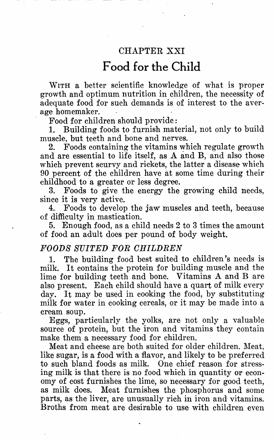## CHAPTER XXI

## **Food for the Child**

WITH a better scientific knowledge of what is proper growth and optimum nutrition in children, the necessity of adequate food for such demands is of interest to the average homemaker.

Food for children should provide:

1. Building foods to furnish material, not only to build muscle, but teeth and bone and nerves.

2. Foods containing the vitamins which regulate growth and are essential to life itself, as A and **B,** and also those which prevent scurvy and rickets, the latter a disease which 90 percent of the children have at some time during their childhood to a greater or less degree.

3. Foods to give the energy the growing child needs, since it is very active.<br>4. Foods to develor

4. Foods to develop the jaw muscles and teeth, because of difficulty in mastication.

5. Enough food, as a child needs 2 to 3 times the amount of food an adult does per pound of body weight.

## *FOODS SUITED FOR CHILDREN*

1. The building food best suited to children's needs is milk. It contains the protein for building muscle and the lime for building teeth and bone. Vitamins A and B are also present. Each child should have a quart of milk every day. It may be used in cooking the food, by substituting milk for water in cooking cereals, or it may be made into a cream soup.

Eggs, particularly the yolks, are not only a valuable source of protein, but the iron and vitamins they contain make them a necessary food for children.

Meat and cheese are both suited for older children. Meat, like sugar, is a food with a flavor, and likely to be preferred to such bland foods as milk. One chief reason for stressing milk is that there is no food which in quantity or economy of cost furnishes the lime, so necessary for good teeth, as milk does. Meat furnishes the phosphorus and some Meat furnishes the phosphorus and some parts, as the liver, are unusually rich in iron and vitamins. Broths from meat are desirable to use with children even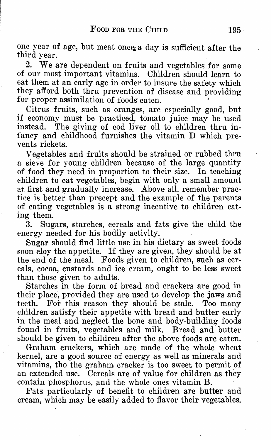one year of age, but meat once a day is sufficient after the third year.

2. We are dependent on fruits and vegetables for some of our most important vitamins. Children should learn to eat them at an early age in order to insure the safety which they afford both thru prevention of disease and providing for proper assimilation of foods eaten.

Citrus fruits, such as oranges, are especially good, but if economy must be practiced, tomato juice may be used instead. The giving of cod liver oil to children thru infancy and childhood furnishes the vitamin D which prevents rickets.

Vegetables and fruits should be strained or rubbed thru a sieve for young children because of the large quantity of food they need in proportion to their size. In teaching children to eat vegetables, begin with only a small amount at first and gradually increase. Above all, remember practice is better than precept and the example of the parents of eating vegetables is a strong incentive to children eating them.

3. Sugars, starches, cereals and fats give the child the energy needed for his bodily activity.

Sugar should find little use in his dietary as sweet foods soon cloy the appetite. If they are given, they should be at the end of the meal. Foods given to children, such as cereals, cocoa, custards and ice cream, ought to be less sweet than those given to adults.

Starches in the form of bread and crackers are good in their place, provided they are used to develop the jaws and teeth. For this reason they should be stale. Too many children satisfy their appetite with bread and butter early in the meal and neglect the bone and body-building foods found in fruits, vegetables and milk. Bread and butter should be given to children after the above foods are eaten.

Graham crackers, which are made of the whole wheat kernel, are a good source of energy as well as minerals and vitamins, tho the graham cracker is too sweet to permit of an extended use. Cereals are of value for children as they contain phosphorus, and the whole ones vitamin B.

Fats particularly of benefit to children are butter and cream, which may be easily added to flavor their vegetables.